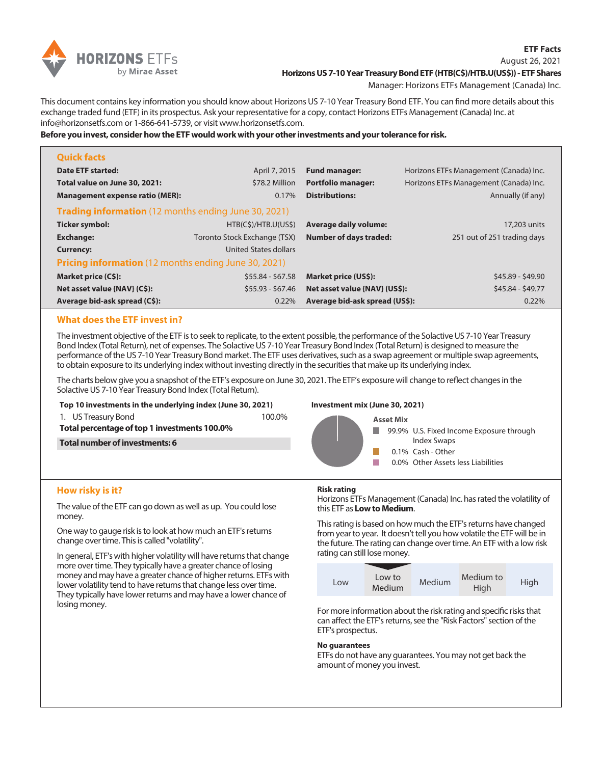

## August 26, 2021 **Horizons US 7-10 Year Treasury Bond ETF (HTB(C\$)/HTB.U(US\$)) - ETF Shares**

Manager: Horizons ETFs Management (Canada) Inc.

This document contains key information you should know about Horizons US 7-10 Year Treasury Bond ETF. You can find more details about this exchange traded fund (ETF) in its prospectus. Ask your representative for a copy, contact Horizons ETFs Management (Canada) Inc. at info@horizonsetfs.com or 1-866-641-5739, or visit www.horizonsetfs.com.

**Before you invest, consider how the ETF would work with your other investments and your tolerance for risk.**

| <b>Quick facts</b>                                          |                              |                                |                                        |  |  |
|-------------------------------------------------------------|------------------------------|--------------------------------|----------------------------------------|--|--|
| Date ETF started:                                           | April 7, 2015                | <b>Fund manager:</b>           | Horizons ETFs Management (Canada) Inc. |  |  |
| Total value on June 30, 2021:                               | \$78.2 Million               | <b>Portfolio manager:</b>      | Horizons ETFs Management (Canada) Inc. |  |  |
| <b>Management expense ratio (MER):</b>                      | 0.17%                        | <b>Distributions:</b>          | Annually (if any)                      |  |  |
| <b>Trading information</b> (12 months ending June 30, 2021) |                              |                                |                                        |  |  |
| Ticker symbol:                                              | HTB(C\$)/HTB.U(US\$)         | <b>Average daily volume:</b>   | 17,203 units                           |  |  |
| <b>Exchange:</b>                                            | Toronto Stock Exchange (TSX) | <b>Number of days traded:</b>  | 251 out of 251 trading days            |  |  |
| <b>Currency:</b>                                            | <b>United States dollars</b> |                                |                                        |  |  |
| <b>Pricing information</b> (12 months ending June 30, 2021) |                              |                                |                                        |  |  |
| Market price (C\$):                                         | $$55.84 - $67.58$            | Market price (US\$):           | \$45.89 - \$49.90                      |  |  |
| Net asset value {NAV} (C\$):                                | $$55.93 - $67.46$            | Net asset value {NAV} (US\$):  | \$45.84 - \$49.77                      |  |  |
| Average bid-ask spread (C\$):                               | 0.22%                        | Average bid-ask spread (US\$): | 0.22%                                  |  |  |

# **What does the ETF invest in?**

The investment objective of the ETF is to seek to replicate, to the extent possible, the performance of the Solactive US 7-10 Year Treasury Bond Index (Total Return), net of expenses. The Solactive US 7-10 Year Treasury Bond Index (Total Return) is designed to measure the performance of the US 7-10 Year Treasury Bond market. The ETF uses derivatives, such as a swap agreement or multiple swap agreements, to obtain exposure to its underlying index without investing directly in the securities that make up its underlying index.

The charts below give you a snapshot of the ETF's exposure on June 30, 2021. The ETF's exposure will change to reflect changes in the Solactive US 7-10 Year Treasury Bond Index (Total Return).

#### **Top 10 investments in the underlying index (June 30, 2021)**

1. US Treasury Bond 100.0%

**Total percentage of top 1 investments 100.0%**

**Total number of investments: 6**

## **Investment mix (June 30, 2021)**



## **Risk rating**

Horizons ETFs Management (Canada) Inc. has rated the volatility of this ETF as **Low to Medium**.

This rating is based on how much the ETF's returns have changed from year to year. It doesn't tell you how volatile the ETF will be in the future. The rating can change over time. An ETF with a low risk rating can still lose money.



For more information about the risk rating and specific risks that can affect the ETF's returns, see the "Risk Factors" section of the ETF's prospectus.

## **No guarantees**

ETFs do not have any guarantees. You may not get back the amount of money you invest.

# **How risky is it?**

The value of the ETF can go down as well as up. You could lose money.

One way to gauge risk is to look at how much an ETF's returns change over time. This is called "volatility".

In general, ETF's with higher volatility will have returns that change more over time. They typically have a greater chance of losing money and may have a greater chance of higher returns. ETFs with lower volatility tend to have returns that change less over time. They typically have lower returns and may have a lower chance of losing money.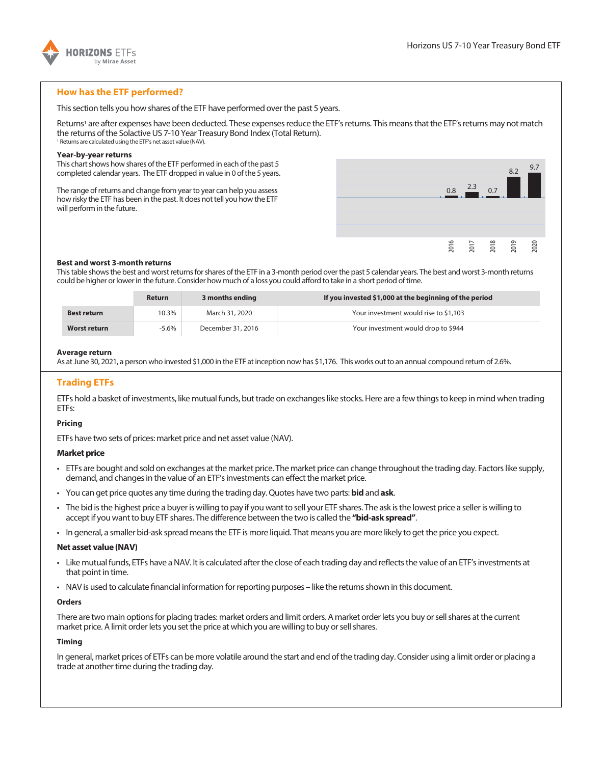

# **How has the ETF performed?**

This section tells you how shares of the ETF have performed over the past 5 years.

Returns<sup>1</sup> are after expenses have been deducted. These expenses reduce the ETF's returns. This means that the ETF's returns may not match the returns of the Solactive US 7-10 Year Treasury Bond Index (Total Return). <sup>1</sup> Returns are calculated using the ETF's net asset value (NAV).

#### **Year-by-year returns**

This chart shows how shares of the ETF performed in each of the past 5 completed calendar years. The ETF dropped in value in 0 of the 5 years.

The range of returns and change from year to year can help you assess how risky the ETF has been in the past. It does not tell you how the ETF will perform in the future.



#### **Best and worst 3-month returns**

This table shows the best and worst returns for shares of the ETF in a 3-month period over the past 5 calendar years. The best and worst 3-month returns could be higher or lower in the future. Consider how much of a loss you could afford to take in a short period of time.

|                     | <b>Return</b> | 3 months ending   | If you invested \$1,000 at the beginning of the period |
|---------------------|---------------|-------------------|--------------------------------------------------------|
| <b>Best return</b>  | 10.3%         | March 31, 2020    | Your investment would rise to \$1,103                  |
| <b>Worst return</b> | -5.6%         | December 31, 2016 | Your investment would drop to \$944                    |

#### **Average return**

As at June 30, 2021, a person who invested \$1,000 in the ETF at inception now has \$1,176. This works out to an annual compound return of 2.6%.

# **Trading ETFs**

ETFs hold a basket of investments, like mutual funds, but trade on exchanges like stocks. Here are a few things to keep in mind when trading ETFs:

## **Pricing**

ETFs have two sets of prices: market price and net asset value (NAV).

## **Market price**

- ETFs are bought and sold on exchanges at the market price. The market price can change throughout the trading day. Factors like supply, demand, and changes in the value of an ETF's investments can effect the market price.
- You can get price quotes any time during the trading day. Quotes have two parts: **bid** and **ask**.
- The bid is the highest price a buyer is willing to pay if you want to sell your ETF shares. The ask is the lowest price a seller is willing to accept if you want to buy ETF shares. The difference between the two is called the **"bid-ask spread"**.
- In general, a smaller bid-ask spread means the ETF is more liquid. That means you are more likely to get the price you expect.

## **Net asset value (NAV)**

- Like mutual funds, ETFs have a NAV. It is calculated after the close of each trading day and reflects the value of an ETF's investments at that point in time.
- NAV is used to calculate financial information for reporting purposes like the returns shown in this document.

#### **Orders**

There are two main options for placing trades: market orders and limit orders. A market order lets you buy or sell shares at the current market price. A limit order lets you set the price at which you are willing to buy or sell shares.

## **Timing**

In general, market prices of ETFs can be more volatile around the start and end of the trading day. Consider using a limit order or placing a trade at another time during the trading day.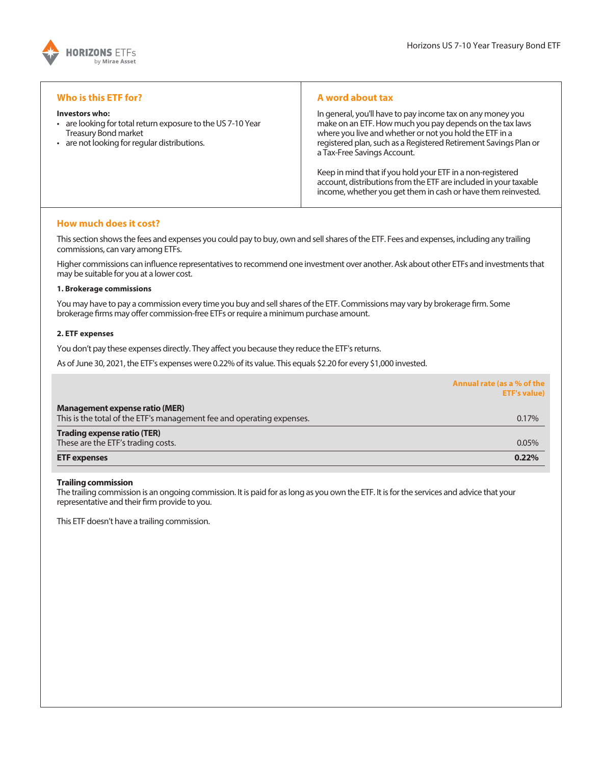

## **Who is this ETF for?**

#### **Investors who:**

- are looking for total return exposure to the US 7-10 Year Treasury Bond market
- are not looking for regular distributions.

## **A word about tax**

In general, you'll have to pay income tax on any money you make on an ETF. How much you pay depends on the tax laws where you live and whether or not you hold the ETF in a registered plan, such as a Registered Retirement Savings Plan or a Tax-Free Savings Account.

Keep in mind that if you hold your ETF in a non-registered account, distributions from the ETF are included in your taxable income, whether you get them in cash or have them reinvested.

## **How much does it cost?**

This section shows the fees and expenses you could pay to buy, own and sell shares of the ETF. Fees and expenses, including any trailing commissions, can vary among ETFs.

Higher commissions can influence representatives to recommend one investment over another. Ask about other ETFs and investments that may be suitable for you at a lower cost.

#### **1. Brokerage commissions**

You may have to pay a commission every time you buy and sell shares of the ETF. Commissions may vary by brokerage firm. Some brokerage firms may offer commission-free ETFs or require a minimum purchase amount.

## **2. ETF expenses**

You don't pay these expenses directly. They affect you because they reduce the ETF's returns.

As of June 30, 2021, the ETF's expenses were 0.22% of its value. This equals \$2.20 for every \$1,000 invested.

|                                                                                                                | Annual rate (as a % of the<br><b>ETF's value)</b> |
|----------------------------------------------------------------------------------------------------------------|---------------------------------------------------|
| <b>Management expense ratio (MER)</b><br>This is the total of the ETF's management fee and operating expenses. | 0.17%                                             |
| <b>Trading expense ratio (TER)</b>                                                                             |                                                   |
| These are the ETF's trading costs.                                                                             | 0.05%                                             |
| <b>ETF</b> expenses                                                                                            | 0.22%                                             |

## **Trailing commission**

The trailing commission is an ongoing commission. It is paid for as long as you own the ETF. It is for the services and advice that your representative and their firm provide to you.

This ETF doesn't have a trailing commission.